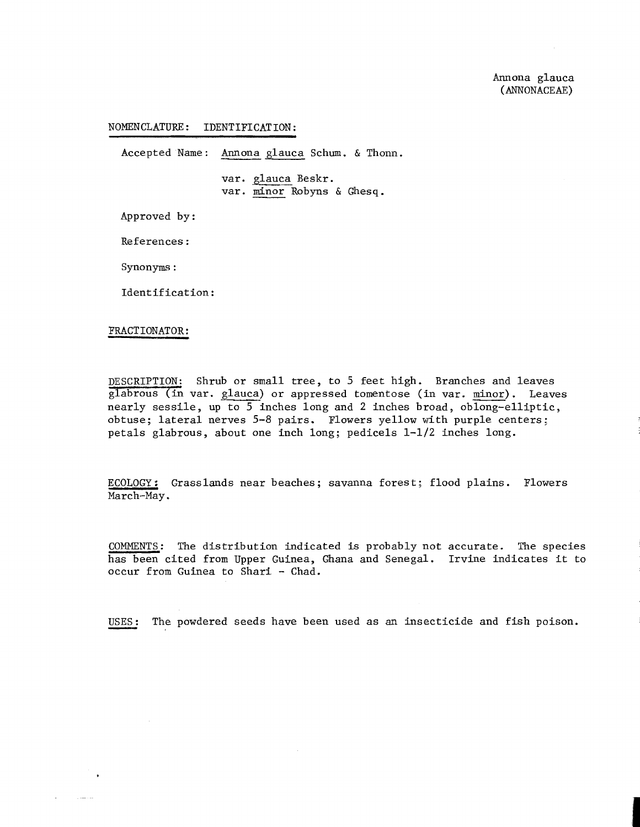## NOMENCLATURE: IDENTIFICATION:

Accepted Name: Annona glauca Schum. & Thonn.

var. glauca Beskr. var. minor Robyns & Ghesq.

Approved by :

References :

Synonyms :

Identification :

## FRACT IONATOR :

DESCRIPTION: Shrub or small tree, to 5 feet high. Branches and leaves  $g$ labrous (in var.  $g$ lauca) or appressed tomentose (in var. minor). Leaves nearly sessile, up to 5 inches long and 2 inches broad, oblong-elliptic, obtuse; lateral nerves 5-8 pairs. Flowers yellow with purple centers; petals glabrous, about one inch long; pedicels  $1-1/2$  inches long.

ECOLOGY: Grasslands near beaches; savanna forest; flood plains. Flowers March-May .

COMMENTS: The distribution indicated is probably not accurate. The species COMMENTS: The distribution indicated is probably not accurate. The species<br>has been cited from Upper Guinea, Ghana and Senegal. Irvine indicates it to<br>occur from Guinea to Shari - Chad.<br>USES: The powdered seeds have been u occur from Guinea to Shari - Chad.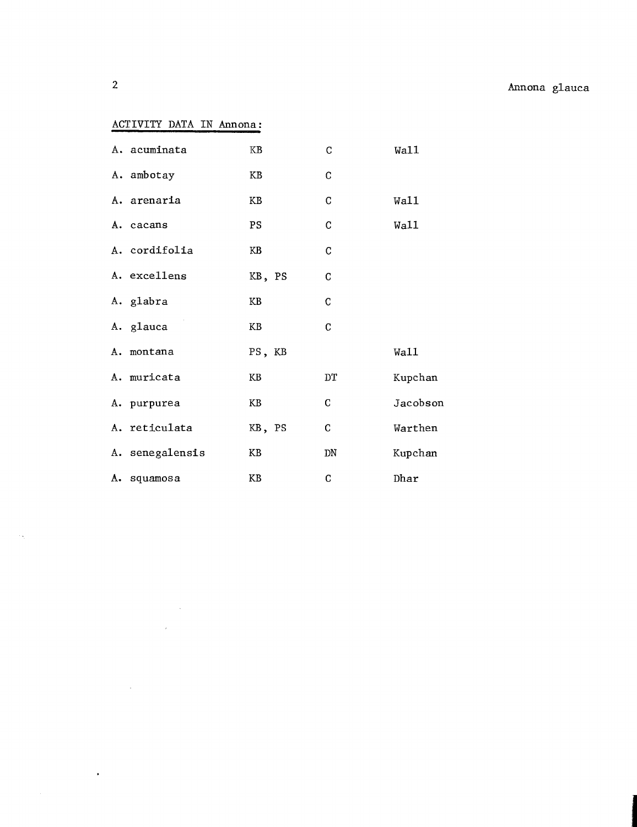## ACTIVITY DATA IN Annona:

 $\mathcal{L}^{\text{max}}_{\text{max}}$  ,  $\mathcal{L}^{\text{max}}_{\text{max}}$ 

 $\sim 10^{11}$ 

 $\sim 10^7$ 

 $\sim 100$ 

| A. acuminata    | KB     | $\mathbf C$ | Wa11     |
|-----------------|--------|-------------|----------|
| A. ambotay      | KB     | $\mathbf C$ |          |
| A. arenaria     | KB     | $\mathbf C$ | Wall     |
| A. cacans       | PS     | $\mathsf C$ | Wall     |
| A. cordifolia   | KB     | $\mathbf C$ |          |
| A. excellens    | KB, PS | $\mathbf C$ |          |
| A. glabra       | KB     | $\mathsf C$ |          |
| A. glauca       | KB     | C           |          |
| A. montana      | PS, KB |             | Wall     |
| A. muricata     | KB     | DT          | Kupchan  |
| A. purpurea     | KB     | C           | Jacobson |
| A. reticulata   | KB, PS | C           | Warthen  |
| A. senegalensis | ΚB     | ${\rm DN}$  | Kupchan  |
| A. squamosa     | KB     | C           | Dhar     |

 $\mathcal{A}_{\mathcal{A}}$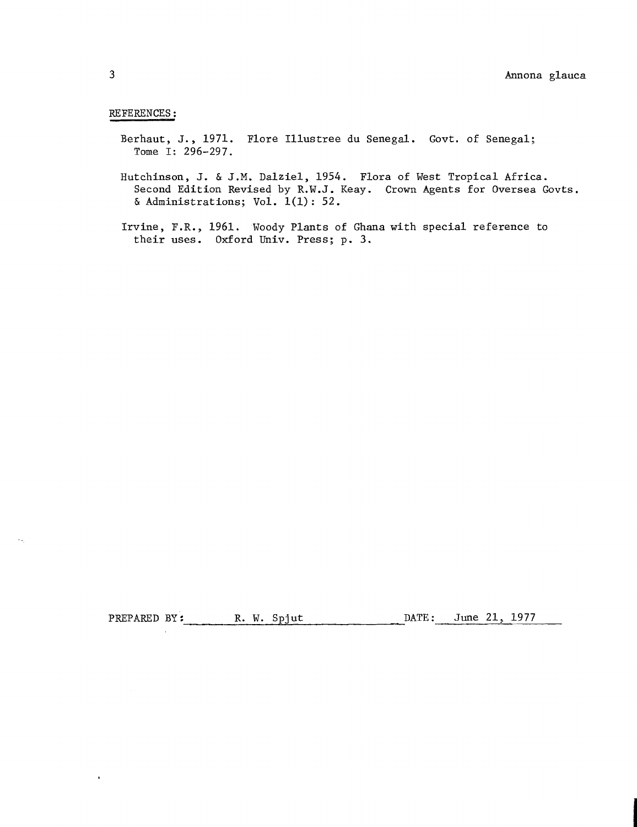## REFERENCES :

- Berhaut, J., 1971. Flore Illustree du Senegal. Govt. of Senegal; Tome I: 296-297.
- Hutchinson, J. & J.M. Dalziel, 1954. Flora of West Tropical Africa. Second Edition Revised by R.W.J. Keay. Crown Agents for Oversea Govts. & Administrations; Vol.  $1(1)$ : 52.
- Irvine, F.R., 1961. Woody Plants of Ghana with special reference to their uses. Oxford Univ. Press; p. **3.**

PREPARED BY: R. W. Spjut DATE: June 21, 1977

 $\bullet$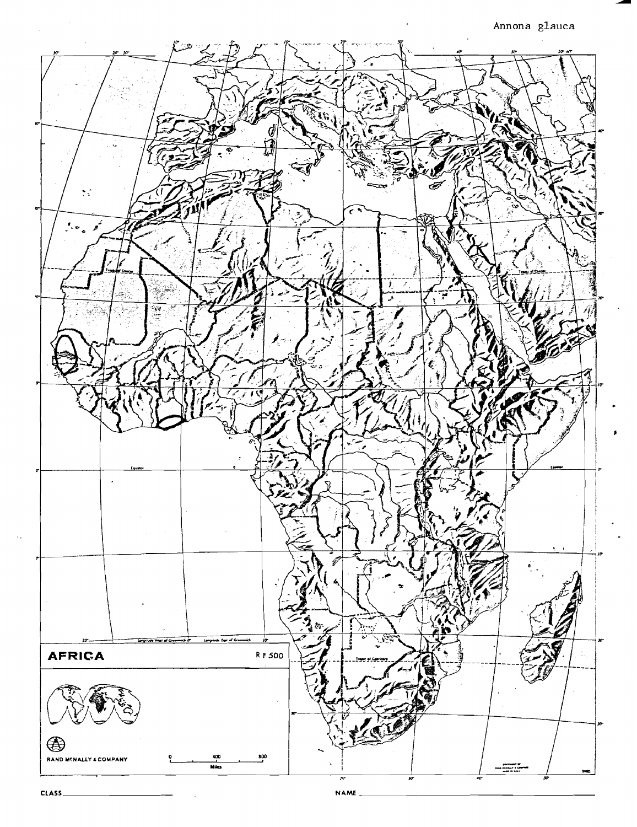Annona glauca